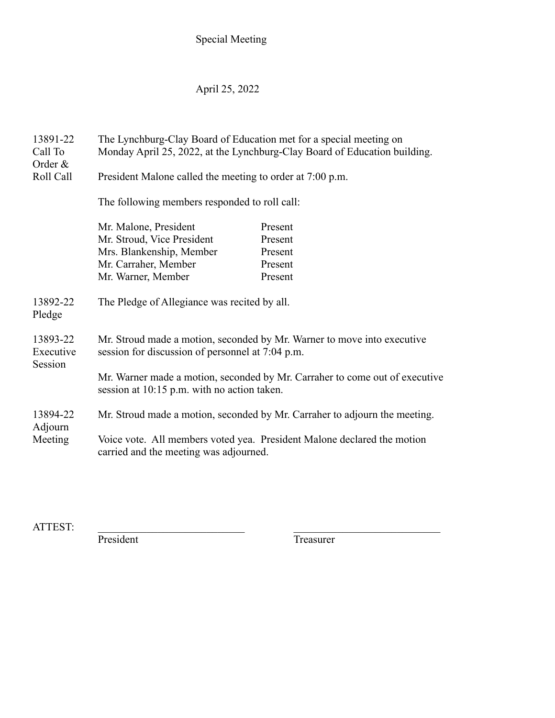### Special Meeting

### April 25, 2022

13891-22 The Lynchburg-Clay Board of Education met for a special meeting on Call To Monday April 25, 2022, at the Lynchburg-Clay Board of Education building. Order & Roll Call President Malone called the meeting to order at 7:00 p.m. The following members responded to roll call: Mr. Malone, President Present Mr. Stroud, Vice President Present Mrs. Blankenship, Member Present Mr. Carraher, Member Present Mr. Warner, Member Present 13892-22 The Pledge of Allegiance was recited by all. Pledge 13893-22 Mr. Stroud made a motion, seconded by Mr. Warner to move into executive Executive session for discussion of personnel at 7:04 p.m. Session Mr. Warner made a motion, seconded by Mr. Carraher to come out of executive session at 10:15 p.m. with no action taken. 13894-22 Mr. Stroud made a motion, seconded by Mr. Carraher to adjourn the meeting. Adjourn Meeting Voice vote. All members voted yea. President Malone declared the motion carried and the meeting was adjourned.

ATTEST:

President Treasurer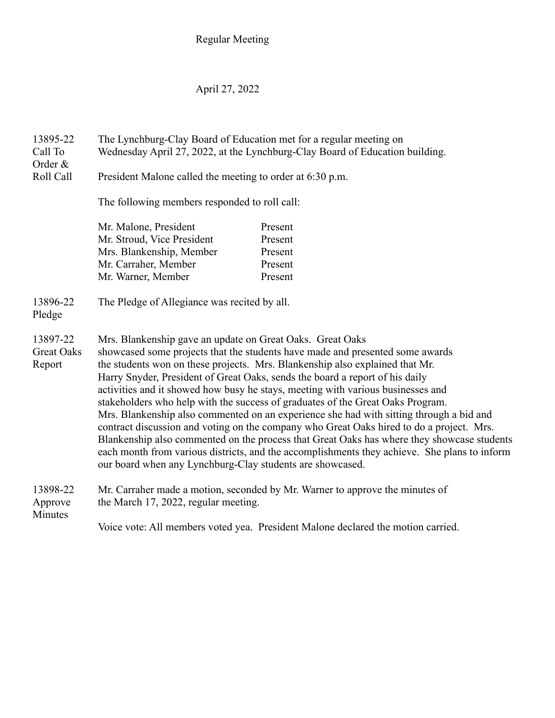### April 27, 2022

13895-22 The Lynchburg-Clay Board of Education met for a regular meeting on Call To Wednesday April 27, 2022, at the Lynchburg-Clay Board of Education building. Order &

Roll Call President Malone called the meeting to order at 6:30 p.m.

The following members responded to roll call:

| Present |
|---------|
| Present |
| Present |
| Present |
| Present |
|         |

### 13896-22 The Pledge of Allegiance was recited by all.

Pledge

- 
- 13897-22 Mrs. Blankenship gave an update on Great Oaks. Great Oaks Great Oaks showcased some projects that the students have made and presented some awards Report the students won on these projects. Mrs. Blankenship also explained that Mr. Harry Snyder, President of Great Oaks, sends the board a report of his daily activities and it showed how busy he stays, meeting with various businesses and stakeholders who help with the success of graduates of the Great Oaks Program. Mrs. Blankenship also commented on an experience she had with sitting through a bid and contract discussion and voting on the company who Great Oaks hired to do a project. Mrs. Blankenship also commented on the process that Great Oaks has where they showcase students each month from various districts, and the accomplishments they achieve. She plans to inform our board when any Lynchburg-Clay students are showcased.

# 13898-22 Mr. Carraher made a motion, seconded by Mr. Warner to approve the minutes of Approve the March 17, 2022, regular meeting.

Minutes

Voice vote: All members voted yea. President Malone declared the motion carried.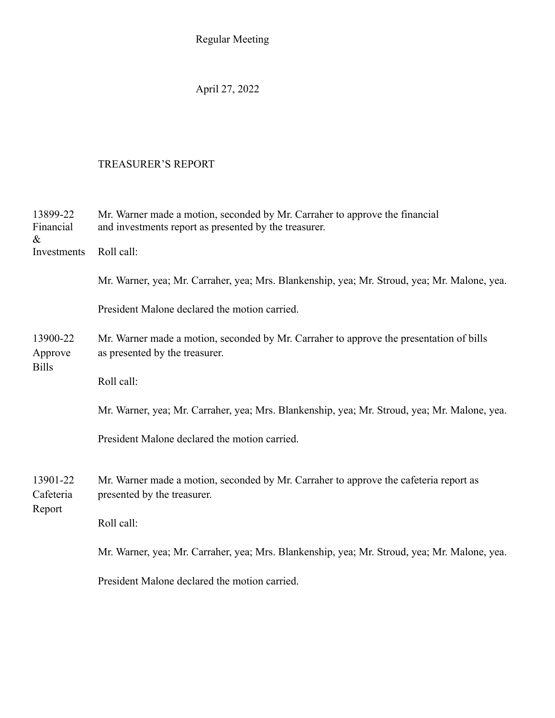April 27, 2022

# TREASURER'S REPORT

| 13899-22<br>Financial<br>$\&$                                                         | Mr. Warner made a motion, seconded by Mr. Carraher to approve the financial<br>and investments report as presented by the treasurer. |
|---------------------------------------------------------------------------------------|--------------------------------------------------------------------------------------------------------------------------------------|
| Investments<br>13900-22<br>Approve<br><b>Bills</b><br>13901-22<br>Cafeteria<br>Report | Roll call:                                                                                                                           |
|                                                                                       | Mr. Warner, yea; Mr. Carraher, yea; Mrs. Blankenship, yea; Mr. Stroud, yea; Mr. Malone, yea.                                         |
|                                                                                       | President Malone declared the motion carried.                                                                                        |
|                                                                                       | Mr. Warner made a motion, seconded by Mr. Carraher to approve the presentation of bills<br>as presented by the treasurer.            |
|                                                                                       | Roll call:                                                                                                                           |
|                                                                                       | Mr. Warner, yea; Mr. Carraher, yea; Mrs. Blankenship, yea; Mr. Stroud, yea; Mr. Malone, yea.                                         |
|                                                                                       | President Malone declared the motion carried.                                                                                        |
|                                                                                       | Mr. Warner made a motion, seconded by Mr. Carraher to approve the cafeteria report as<br>presented by the treasurer.                 |
|                                                                                       | Roll call:                                                                                                                           |
|                                                                                       | Mr. Warner, yea; Mr. Carraher, yea; Mrs. Blankenship, yea; Mr. Stroud, yea; Mr. Malone, yea.                                         |
|                                                                                       | President Malone declared the motion carried.                                                                                        |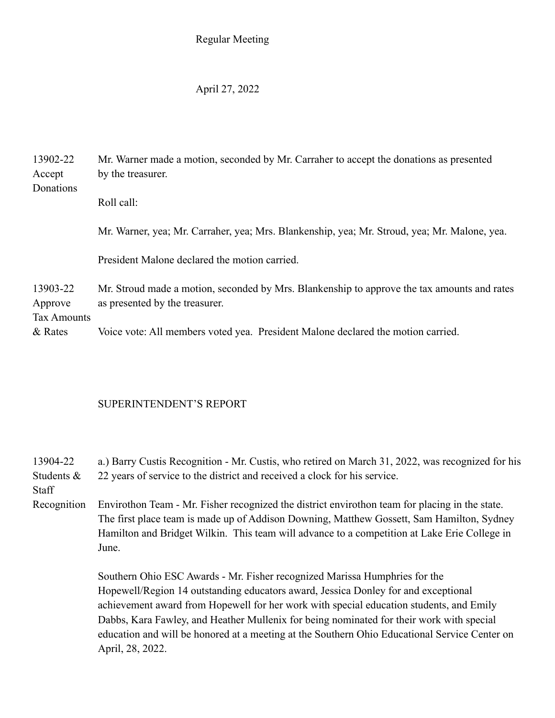### April 27, 2022

13902-22 Mr. Warner made a motion, seconded by Mr. Carraher to accept the donations as presented Accept by the treasurer. Donations Roll call: Mr. Warner, yea; Mr. Carraher, yea; Mrs. Blankenship, yea; Mr. Stroud, yea; Mr. Malone, yea. President Malone declared the motion carried. 13903-22 Mr. Stroud made a motion, seconded by Mrs. Blankenship to approve the tax amounts and rates Approve as presented by the treasurer. Tax Amounts & Rates Voice vote: All members voted yea. President Malone declared the motion carried.

## SUPERINTENDENT'S REPORT

13904-22 a.) Barry Custis Recognition - Mr. Custis, who retired on March 31, 2022, was recognized for his Students  $\&$  22 years of service to the district and received a clock for his service.

**Staff** 

Recognition Envirothon Team - Mr. Fisher recognized the district envirothon team for placing in the state. The first place team is made up of Addison Downing, Matthew Gossett, Sam Hamilton, Sydney Hamilton and Bridget Wilkin. This team will advance to a competition at Lake Erie College in June.

> Southern Ohio ESC Awards - Mr. Fisher recognized Marissa Humphries for the Hopewell/Region 14 outstanding educators award, Jessica Donley for and exceptional achievement award from Hopewell for her work with special education students, and Emily Dabbs, Kara Fawley, and Heather Mullenix for being nominated for their work with special education and will be honored at a meeting at the Southern Ohio Educational Service Center on April, 28, 2022.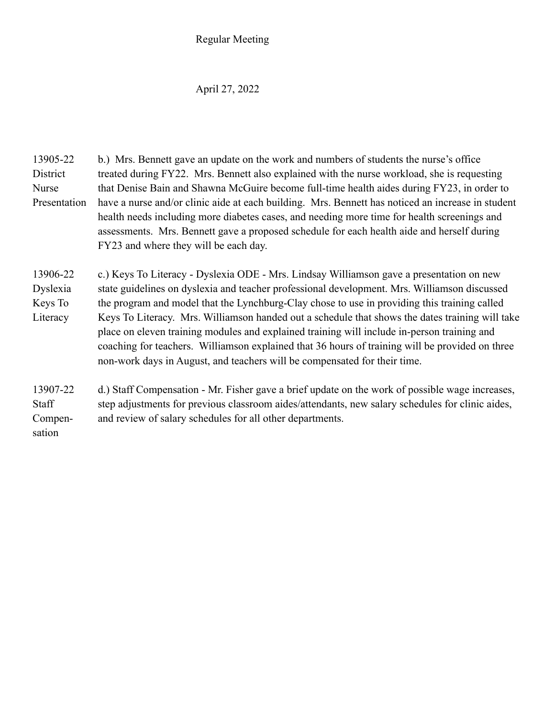### April 27, 2022

13905-22 b.) Mrs. Bennett gave an update on the work and numbers of students the nurse's office District treated during FY22. Mrs. Bennett also explained with the nurse workload, she is requesting Nurse that Denise Bain and Shawna McGuire become full-time health aides during FY23, in order to Presentation have a nurse and/or clinic aide at each building. Mrs. Bennett has noticed an increase in student health needs including more diabetes cases, and needing more time for health screenings and assessments. Mrs. Bennett gave a proposed schedule for each health aide and herself during FY23 and where they will be each day.

13906-22 c.) Keys To Literacy - Dyslexia ODE - Mrs. Lindsay Williamson gave a presentation on new Dyslexia state guidelines on dyslexia and teacher professional development. Mrs. Williamson discussed Keys To the program and model that the Lynchburg-Clay chose to use in providing this training called Literacy Keys To Literacy. Mrs. Williamson handed out a schedule that shows the dates training will take place on eleven training modules and explained training will include in-person training and coaching for teachers. Williamson explained that 36 hours of training will be provided on three non-work days in August, and teachers will be compensated for their time.

13907-22 d.) Staff Compensation - Mr. Fisher gave a brief update on the work of possible wage increases, Staff step adjustments for previous classroom aides/attendants, new salary schedules for clinic aides, Compen- and review of salary schedules for all other departments. sation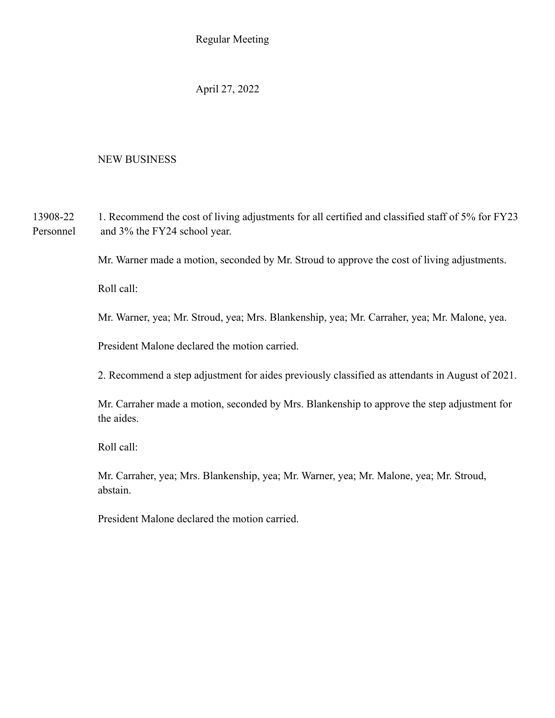April 27, 2022

### NEW BUSINESS

13908-22 1. Recommend the cost of living adjustments for all certified and classified staff of 5% for FY23 Personnel and 3% the FY24 school year.

Mr. Warner made a motion, seconded by Mr. Stroud to approve the cost of living adjustments.

Roll call:

Mr. Warner, yea; Mr. Stroud, yea; Mrs. Blankenship, yea; Mr. Carraher, yea; Mr. Malone, yea.

President Malone declared the motion carried.

2. Recommend a step adjustment for aides previously classified as attendants in August of 2021.

Mr. Carraher made a motion, seconded by Mrs. Blankenship to approve the step adjustment for the aides.

Roll call:

Mr. Carraher, yea; Mrs. Blankenship, yea; Mr. Warner, yea; Mr. Malone, yea; Mr. Stroud, abstain.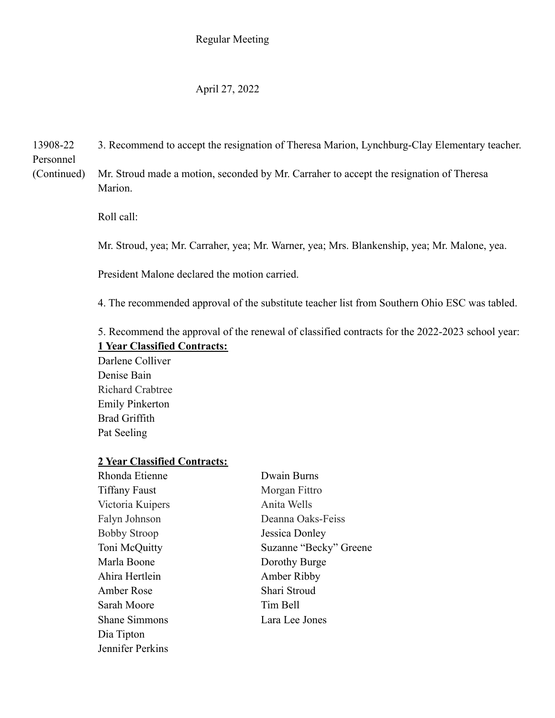### April 27, 2022

13908-22 3. Recommend to accept the resignation of Theresa Marion, Lynchburg-Clay Elementary teacher.

Personnel

(Continued) Mr. Stroud made a motion, seconded by Mr. Carraher to accept the resignation of Theresa Marion.

Roll call:

Mr. Stroud, yea; Mr. Carraher, yea; Mr. Warner, yea; Mrs. Blankenship, yea; Mr. Malone, yea.

President Malone declared the motion carried.

4. The recommended approval of the substitute teacher list from Southern Ohio ESC was tabled.

5. Recommend the approval of the renewal of classified contracts for the 2022-2023 school year: **1 Year Classified Contracts:**

Darlene Colliver Denise Bain Richard Crabtree Emily Pinkerton Brad Griffith Pat Seeling

### **2 Year Classified Contracts:**

| Rhonda Etienne       | Dwain Burns            |
|----------------------|------------------------|
| <b>Tiffany Faust</b> | Morgan Fittro          |
| Victoria Kuipers     | Anita Wells            |
| Falyn Johnson        | Deanna Oaks-Feiss      |
| <b>Bobby Stroop</b>  | Jessica Donley         |
| Toni McQuitty        | Suzanne "Becky" Greene |
| Marla Boone          | Dorothy Burge          |
| Ahira Hertlein       | Amber Ribby            |
| Amber Rose           | Shari Stroud           |
| Sarah Moore          | Tim Bell               |
| <b>Shane Simmons</b> | Lara Lee Jones         |
| Dia Tipton           |                        |
| Jennifer Perkins     |                        |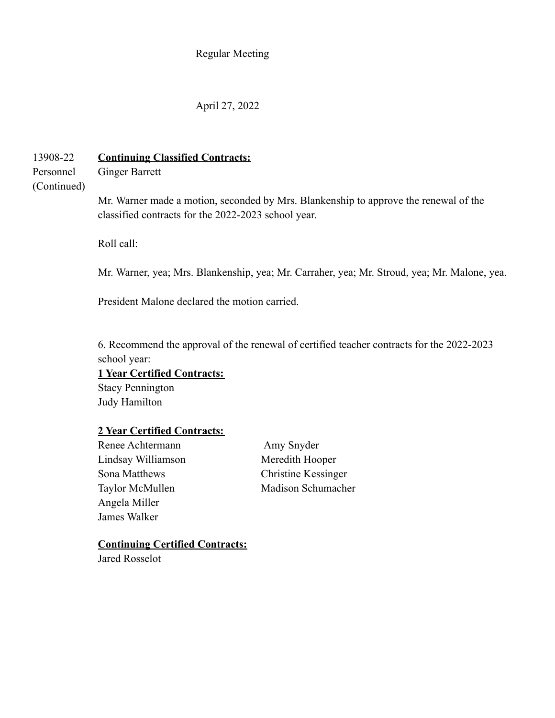### April 27, 2022

# 13908-22 **Continuing Classified Contracts:**

Personnel Ginger Barrett

# (Continued)

Mr. Warner made a motion, seconded by Mrs. Blankenship to approve the renewal of the classified contracts for the 2022-2023 school year.

Roll call:

Mr. Warner, yea; Mrs. Blankenship, yea; Mr. Carraher, yea; Mr. Stroud, yea; Mr. Malone, yea.

President Malone declared the motion carried.

6. Recommend the approval of the renewal of certified teacher contracts for the 2022-2023 school year:

### **1 Year Certified Contracts:**

Stacy Pennington Judy Hamilton

#### **2 Year Certified Contracts:**

Renee Achtermann Amy Snyder Lindsay Williamson Meredith Hooper Sona Matthews Christine Kessinger Angela Miller James Walker

Taylor McMullen Madison Schumacher

### **Continuing Certified Contracts:**

Jared Rosselot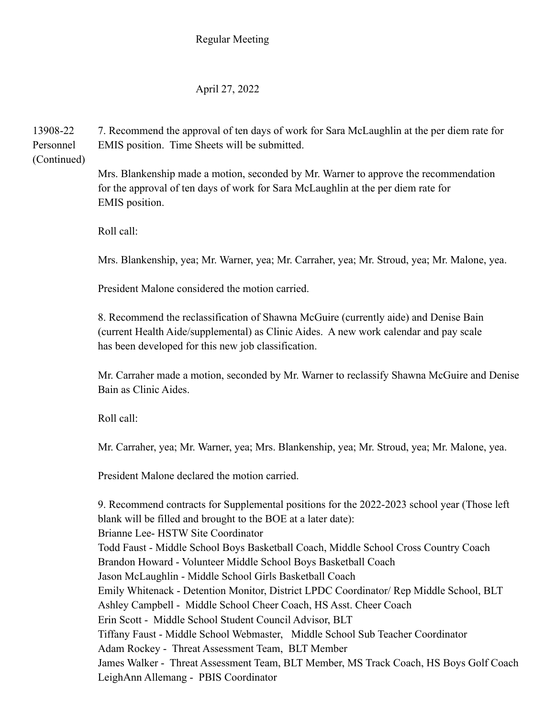## April 27, 2022

13908-22 7. Recommend the approval of ten days of work for Sara McLaughlin at the per diem rate for Personnel EMIS position. Time Sheets will be submitted.

(Continued)

Mrs. Blankenship made a motion, seconded by Mr. Warner to approve the recommendation for the approval of ten days of work for Sara McLaughlin at the per diem rate for EMIS position.

Roll call:

Mrs. Blankenship, yea; Mr. Warner, yea; Mr. Carraher, yea; Mr. Stroud, yea; Mr. Malone, yea.

President Malone considered the motion carried.

8. Recommend the reclassification of Shawna McGuire (currently aide) and Denise Bain (current Health Aide/supplemental) as Clinic Aides. A new work calendar and pay scale has been developed for this new job classification.

Mr. Carraher made a motion, seconded by Mr. Warner to reclassify Shawna McGuire and Denise Bain as Clinic Aides.

Roll call:

Mr. Carraher, yea; Mr. Warner, yea; Mrs. Blankenship, yea; Mr. Stroud, yea; Mr. Malone, yea.

President Malone declared the motion carried.

9. Recommend contracts for Supplemental positions for the 2022-2023 school year (Those left blank will be filled and brought to the BOE at a later date): Brianne Lee- HSTW Site Coordinator Todd Faust - Middle School Boys Basketball Coach, Middle School Cross Country Coach Brandon Howard - Volunteer Middle School Boys Basketball Coach Jason McLaughlin - Middle School Girls Basketball Coach Emily Whitenack - Detention Monitor, District LPDC Coordinator/ Rep Middle School, BLT Ashley Campbell - Middle School Cheer Coach, HS Asst. Cheer Coach Erin Scott - Middle School Student Council Advisor, BLT Tiffany Faust - Middle School Webmaster, Middle School Sub Teacher Coordinator Adam Rockey - Threat Assessment Team, BLT Member James Walker - Threat Assessment Team, BLT Member, MS Track Coach, HS Boys Golf Coach LeighAnn Allemang - PBIS Coordinator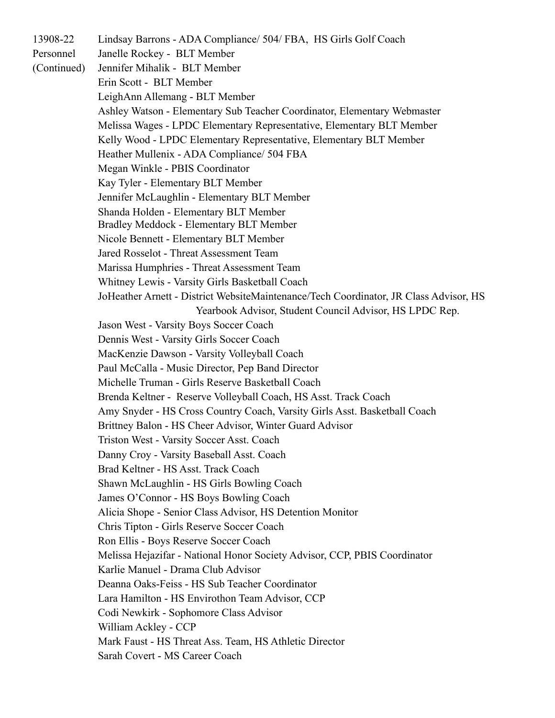13908-22 Lindsay Barrons - ADA Compliance/ 504/ FBA, HS Girls Golf Coach

Personnel Janelle Rockey - BLT Member

(Continued) Jennifer Mihalik - BLT Member

Erin Scott - BLT Member

LeighAnn Allemang - BLT Member

Ashley Watson - Elementary Sub Teacher Coordinator, Elementary Webmaster

Melissa Wages - LPDC Elementary Representative, Elementary BLT Member

Kelly Wood - LPDC Elementary Representative, Elementary BLT Member

Heather Mullenix - ADA Compliance/ 504 FBA

Megan Winkle - PBIS Coordinator

Kay Tyler - Elementary BLT Member

Jennifer McLaughlin - Elementary BLT Member

Shanda Holden - Elementary BLT Member

Bradley Meddock - Elementary BLT Member

Nicole Bennett - Elementary BLT Member

Jared Rosselot - Threat Assessment Team

Marissa Humphries - Threat Assessment Team

Whitney Lewis - Varsity Girls Basketball Coach

JoHeather Arnett - District WebsiteMaintenance/Tech Coordinator, JR Class Advisor, HS Yearbook Advisor, Student Council Advisor, HS LPDC Rep.

Jason West - Varsity Boys Soccer Coach

Dennis West - Varsity Girls Soccer Coach

MacKenzie Dawson - Varsity Volleyball Coach

Paul McCalla - Music Director, Pep Band Director

Michelle Truman - Girls Reserve Basketball Coach

Brenda Keltner - Reserve Volleyball Coach, HS Asst. Track Coach

Amy Snyder - HS Cross Country Coach, Varsity Girls Asst. Basketball Coach

Brittney Balon - HS Cheer Advisor, Winter Guard Advisor

Triston West - Varsity Soccer Asst. Coach

Danny Croy - Varsity Baseball Asst. Coach

Brad Keltner - HS Asst. Track Coach

Shawn McLaughlin - HS Girls Bowling Coach

James O'Connor - HS Boys Bowling Coach

Alicia Shope - Senior Class Advisor, HS Detention Monitor

Chris Tipton - Girls Reserve Soccer Coach

Ron Ellis - Boys Reserve Soccer Coach

Melissa Hejazifar - National Honor Society Advisor, CCP, PBIS Coordinator

Karlie Manuel - Drama Club Advisor

Deanna Oaks-Feiss - HS Sub Teacher Coordinator

Lara Hamilton - HS Envirothon Team Advisor, CCP

Codi Newkirk - Sophomore Class Advisor

William Ackley - CCP

Mark Faust - HS Threat Ass. Team, HS Athletic Director

Sarah Covert - MS Career Coach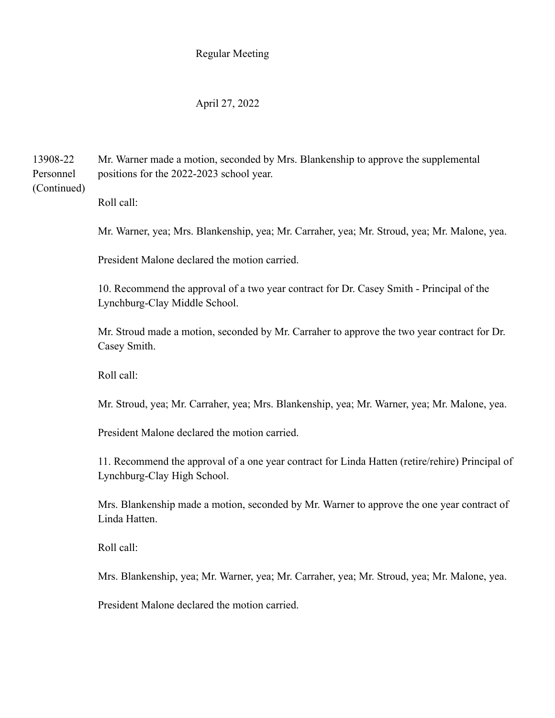#### April 27, 2022

13908-22 Mr. Warner made a motion, seconded by Mrs. Blankenship to approve the supplemental Personnel positions for the 2022-2023 school year. (Continued)

Roll call:

Mr. Warner, yea; Mrs. Blankenship, yea; Mr. Carraher, yea; Mr. Stroud, yea; Mr. Malone, yea.

President Malone declared the motion carried.

10. Recommend the approval of a two year contract for Dr. Casey Smith - Principal of the Lynchburg-Clay Middle School.

Mr. Stroud made a motion, seconded by Mr. Carraher to approve the two year contract for Dr. Casey Smith.

Roll call:

Mr. Stroud, yea; Mr. Carraher, yea; Mrs. Blankenship, yea; Mr. Warner, yea; Mr. Malone, yea.

President Malone declared the motion carried.

11. Recommend the approval of a one year contract for Linda Hatten (retire/rehire) Principal of Lynchburg-Clay High School.

Mrs. Blankenship made a motion, seconded by Mr. Warner to approve the one year contract of Linda Hatten.

Roll call:

Mrs. Blankenship, yea; Mr. Warner, yea; Mr. Carraher, yea; Mr. Stroud, yea; Mr. Malone, yea.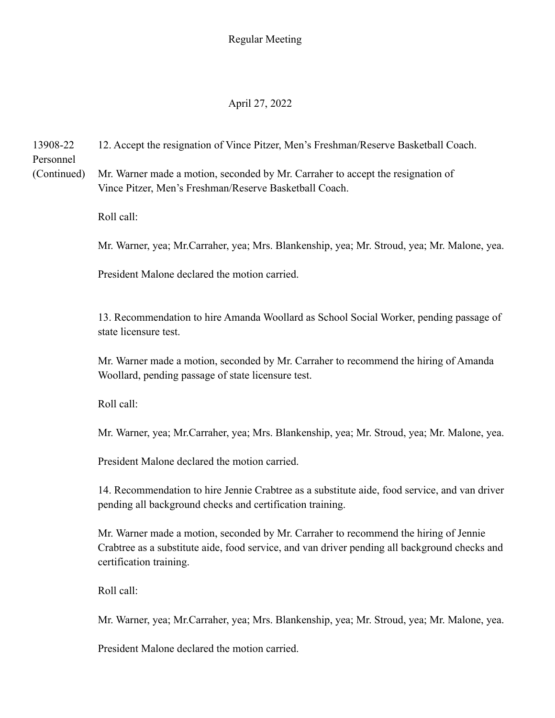# April 27, 2022

13908-22 12. Accept the resignation of Vince Pitzer, Men's Freshman/Reserve Basketball Coach. Personnel

(Continued) Mr. Warner made a motion, seconded by Mr. Carraher to accept the resignation of Vince Pitzer, Men's Freshman/Reserve Basketball Coach.

Roll call:

Mr. Warner, yea; Mr.Carraher, yea; Mrs. Blankenship, yea; Mr. Stroud, yea; Mr. Malone, yea.

President Malone declared the motion carried.

13. Recommendation to hire Amanda Woollard as School Social Worker, pending passage of state licensure test.

Mr. Warner made a motion, seconded by Mr. Carraher to recommend the hiring of Amanda Woollard, pending passage of state licensure test.

Roll call:

Mr. Warner, yea; Mr.Carraher, yea; Mrs. Blankenship, yea; Mr. Stroud, yea; Mr. Malone, yea.

President Malone declared the motion carried.

14. Recommendation to hire Jennie Crabtree as a substitute aide, food service, and van driver pending all background checks and certification training.

Mr. Warner made a motion, seconded by Mr. Carraher to recommend the hiring of Jennie Crabtree as a substitute aide, food service, and van driver pending all background checks and certification training.

Roll call:

Mr. Warner, yea; Mr.Carraher, yea; Mrs. Blankenship, yea; Mr. Stroud, yea; Mr. Malone, yea.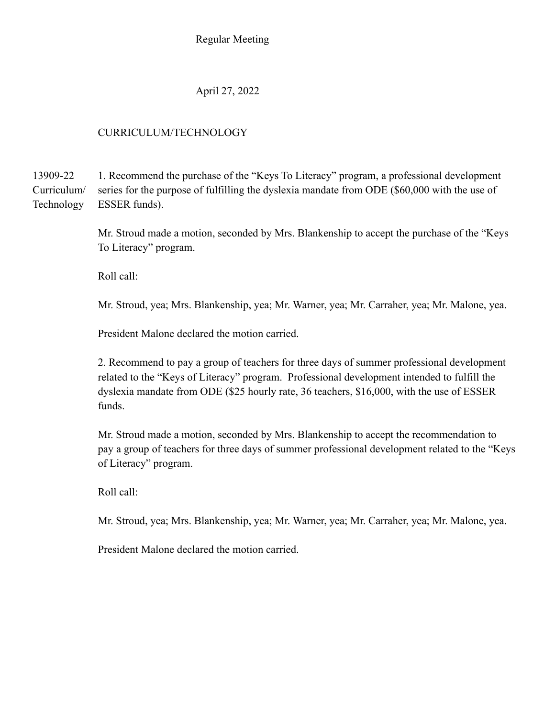April 27, 2022

## CURRICULUM/TECHNOLOGY

13909-22 1. Recommend the purchase of the "Keys To Literacy" program, a professional development Curriculum/ series for the purpose of fulfilling the dyslexia mandate from ODE (\$60,000 with the use of Technology ESSER funds).

> Mr. Stroud made a motion, seconded by Mrs. Blankenship to accept the purchase of the "Keys To Literacy" program.

Roll call:

Mr. Stroud, yea; Mrs. Blankenship, yea; Mr. Warner, yea; Mr. Carraher, yea; Mr. Malone, yea.

President Malone declared the motion carried.

2. Recommend to pay a group of teachers for three days of summer professional development related to the "Keys of Literacy" program. Professional development intended to fulfill the dyslexia mandate from ODE (\$25 hourly rate, 36 teachers, \$16,000, with the use of ESSER funds.

Mr. Stroud made a motion, seconded by Mrs. Blankenship to accept the recommendation to pay a group of teachers for three days of summer professional development related to the "Keys of Literacy" program.

Roll call:

Mr. Stroud, yea; Mrs. Blankenship, yea; Mr. Warner, yea; Mr. Carraher, yea; Mr. Malone, yea.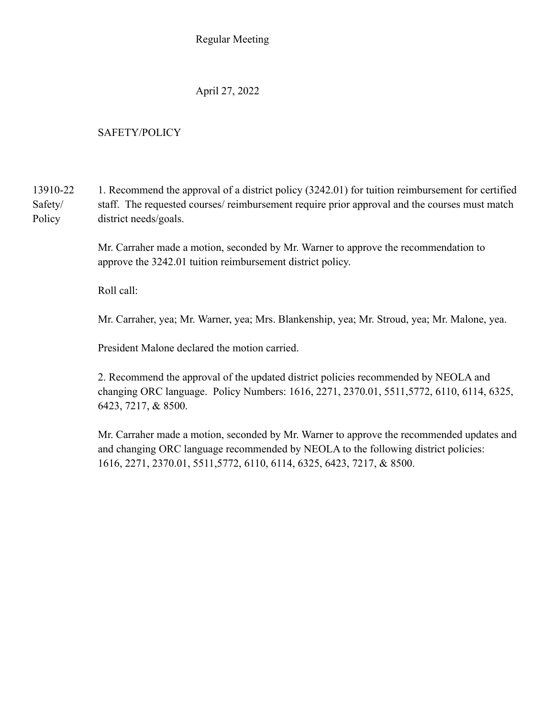April 27, 2022

# SAFETY/POLICY

13910-22 1. Recommend the approval of a district policy (3242.01) for tuition reimbursement for certified Safety/ staff. The requested courses/ reimbursement require prior approval and the courses must match Policy district needs/goals.

> Mr. Carraher made a motion, seconded by Mr. Warner to approve the recommendation to approve the 3242.01 tuition reimbursement district policy.

Roll call:

Mr. Carraher, yea; Mr. Warner, yea; Mrs. Blankenship, yea; Mr. Stroud, yea; Mr. Malone, yea.

President Malone declared the motion carried.

2. Recommend the approval of the updated district policies recommended by NEOLA and changing ORC language. Policy Numbers: 1616, 2271, 2370.01, 5511,5772, 6110, 6114, 6325, 6423, 7217, & 8500.

Mr. Carraher made a motion, seconded by Mr. Warner to approve the recommended updates and and changing ORC language recommended by NEOLA to the following district policies: 1616, 2271, 2370.01, 5511,5772, 6110, 6114, 6325, 6423, 7217, & 8500.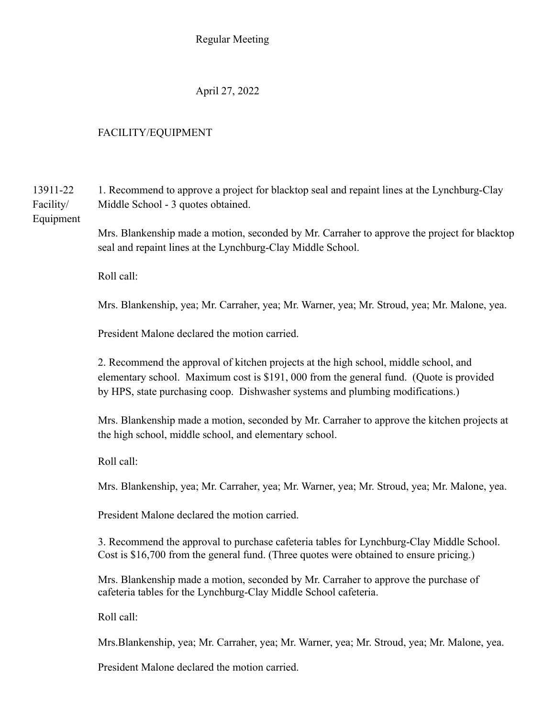April 27, 2022

# FACILITY/EQUIPMENT

13911-22 1. Recommend to approve a project for blacktop seal and repaint lines at the Lynchburg-Clay Facility/ Middle School - 3 quotes obtained.

Equipment

Mrs. Blankenship made a motion, seconded by Mr. Carraher to approve the project for blacktop seal and repaint lines at the Lynchburg-Clay Middle School.

Roll call:

Mrs. Blankenship, yea; Mr. Carraher, yea; Mr. Warner, yea; Mr. Stroud, yea; Mr. Malone, yea.

President Malone declared the motion carried.

2. Recommend the approval of kitchen projects at the high school, middle school, and elementary school. Maximum cost is \$191, 000 from the general fund. (Quote is provided by HPS, state purchasing coop. Dishwasher systems and plumbing modifications.)

Mrs. Blankenship made a motion, seconded by Mr. Carraher to approve the kitchen projects at the high school, middle school, and elementary school.

Roll call:

Mrs. Blankenship, yea; Mr. Carraher, yea; Mr. Warner, yea; Mr. Stroud, yea; Mr. Malone, yea.

President Malone declared the motion carried.

3. Recommend the approval to purchase cafeteria tables for Lynchburg-Clay Middle School. Cost is \$16,700 from the general fund. (Three quotes were obtained to ensure pricing.)

Mrs. Blankenship made a motion, seconded by Mr. Carraher to approve the purchase of cafeteria tables for the Lynchburg-Clay Middle School cafeteria.

Roll call:

Mrs.Blankenship, yea; Mr. Carraher, yea; Mr. Warner, yea; Mr. Stroud, yea; Mr. Malone, yea.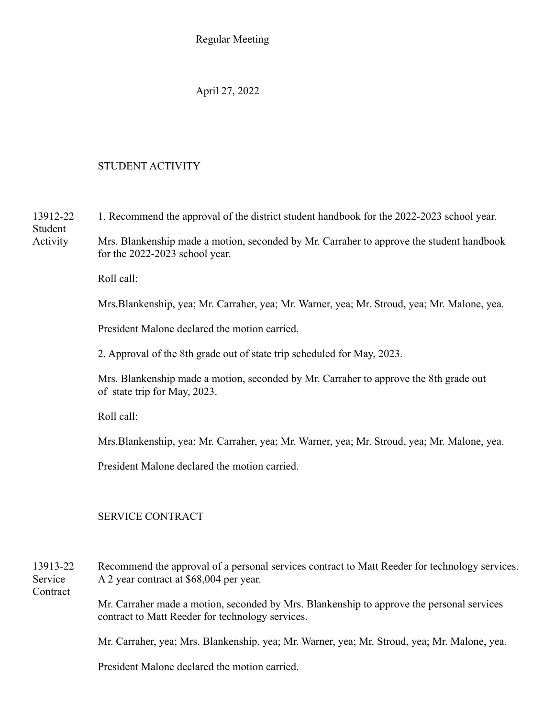April 27, 2022

# STUDENT ACTIVITY

13912-22 1. Recommend the approval of the district student handbook for the 2022-2023 school year. Student Activity Mrs. Blankenship made a motion, seconded by Mr. Carraher to approve the student handbook for the 2022-2023 school year. Roll call: Mrs.Blankenship, yea; Mr. Carraher, yea; Mr. Warner, yea; Mr. Stroud, yea; Mr. Malone, yea. President Malone declared the motion carried. 2. Approval of the 8th grade out of state trip scheduled for May, 2023. Mrs. Blankenship made a motion, seconded by Mr. Carraher to approve the 8th grade out of state trip for May, 2023. Roll call: Mrs.Blankenship, yea; Mr. Carraher, yea; Mr. Warner, yea; Mr. Stroud, yea; Mr. Malone, yea. President Malone declared the motion carried.

## SERVICE CONTRACT

13913-22 Recommend the approval of a personal services contract to Matt Reeder for technology services. Service A 2 year contract at \$68,004 per year. **Contract** 

> Mr. Carraher made a motion, seconded by Mrs. Blankenship to approve the personal services contract to Matt Reeder for technology services.

Mr. Carraher, yea; Mrs. Blankenship, yea; Mr. Warner, yea; Mr. Stroud, yea; Mr. Malone, yea.